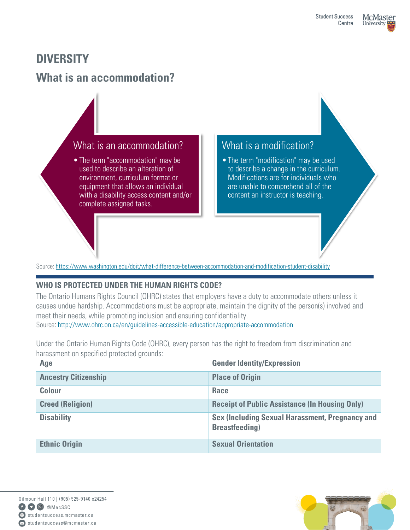# **DIVERSITY**

# **What is an accommodation?**



 environment, curriculum format or • The term "accommodation" may be used to describe an alteration of equipment that allows an individual with a disability access content and/or complete assigned tasks.

# What is a modification?

• The term "modification" may be used to describe a change in the curriculum. Modifications are for individuals who are unable to comprehend all of the content an instructor is teaching.

Source[: https://www.washington.edu/doit/what-difference-between-accommodation-and-modification-student-disability](https://www.washington.edu/doit/what-difference-between-accommodation-and-modification-student-disability) 

## **WHO IS PROTECTED UNDER THE HUMAN RIGHTS CODE?**

 The Ontario Humans Rights Council (OHRC) states that employers have a duty to accommodate others unless it causes undue hardship. Accommodations must be appropriate, maintain the dignity of the person(s) involved and meet their needs, while promoting inclusion and ensuring confidentiality. Source[: http://www.ohrc.on.ca/en/guidelines-accessible-education/appropriate-accommodation](http://www.ohrc.on.ca/en/guidelines-accessible-education/appropriate-accommodation) 

Under the Ontario Human Rights Code (OHRC), every person has the right to freedom from discrimination and harassment on specified protected grounds:

| Age                         | <b>Gender Identity/Expression</b>                                                |  |
|-----------------------------|----------------------------------------------------------------------------------|--|
| <b>Ancestry Citizenship</b> | <b>Place of Origin</b>                                                           |  |
| <b>Colour</b>               | Race                                                                             |  |
| <b>Creed (Religion)</b>     | <b>Receipt of Public Assistance (In Housing Only)</b>                            |  |
| <b>Disability</b>           | <b>Sex (Including Sexual Harassment, Pregnancy and</b><br><b>Breastfeeding</b> ) |  |
| <b>Ethnic Origin</b>        | <b>Sexual Orientation</b>                                                        |  |